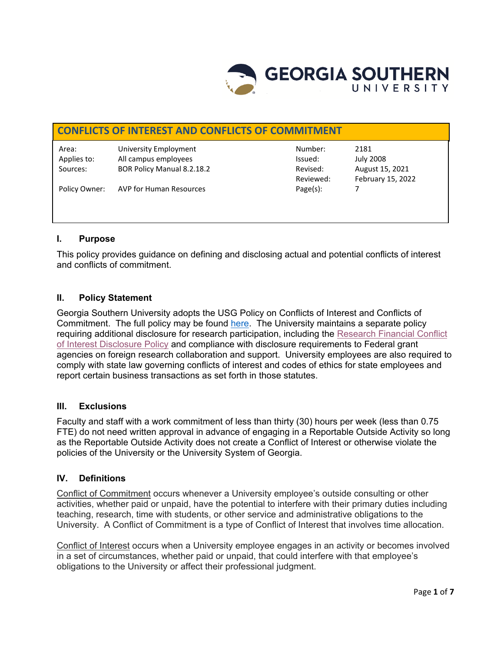

# **CONFLICTS OF INTEREST AND CONFLICTS OF COMMITMENT**

Area: University Employment Number: 2181 Applies to: All campus employees and in the series of the series of the July 2008 Sources: BOR Policy Manual 8.2.18.2 Revised: August 15, 2021

Reviewed: February 15, 2022

Policy Owner: AVP for Human Resources example and page(s): 7

# **I. Purpose**

This policy provides guidance on defining and disclosing actual and potential conflicts of interest and conflicts of commitment.

# **II. Policy Statement**

Georgia Southern University adopts the USG Policy on Conflicts of Interest and Conflicts of Commitment. The full policy may be found [here.](https://www.usg.edu/policymanual/section8/C224/#p8.2.18_personnel_conduct) The University maintains a separate policy requiring additional disclosure for research participation, including the [Research Financial Conflict](https://digitalcommons.georgiasouthern.edu/oraec/1/)  [of Interest Disclosure Policy](https://digitalcommons.georgiasouthern.edu/oraec/1/) and compliance with disclosure requirements to Federal grant agencies on foreign research collaboration and support. University employees are also required to comply with state law governing conflicts of interest and codes of ethics for state employees and report certain business transactions as set forth in those statutes.

### **III. Exclusions**

Faculty and staff with a work commitment of less than thirty (30) hours per week (less than 0.75 FTE) do not need written approval in advance of engaging in a Reportable Outside Activity so long as the Reportable Outside Activity does not create a Conflict of Interest or otherwise violate the policies of the University or the University System of Georgia.

# **IV. Definitions**

Conflict of Commitment occurs whenever a University employee's outside consulting or other activities, whether paid or unpaid, have the potential to interfere with their primary duties including teaching, research, time with students, or other service and administrative obligations to the University. A Conflict of Commitment is a type of Conflict of Interest that involves time allocation.

Conflict of Interest occurs when a University employee engages in an activity or becomes involved in a set of circumstances, whether paid or unpaid, that could interfere with that employee's obligations to the University or affect their professional judgment.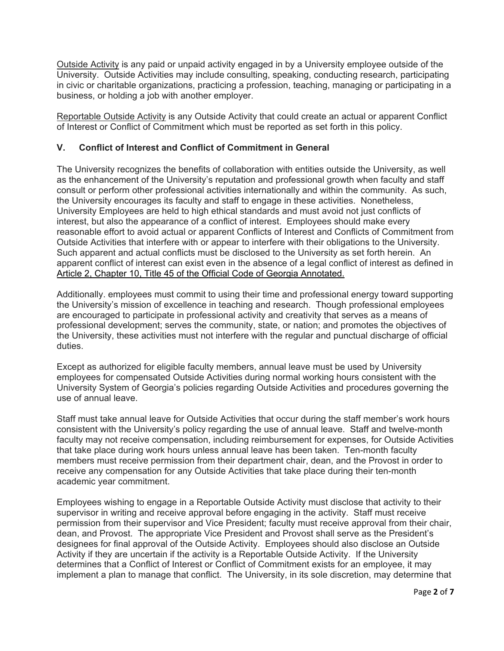Outside Activity is any paid or unpaid activity engaged in by a University employee outside of the University. Outside Activities may include consulting, speaking, conducting research, participating in civic or charitable organizations, practicing a profession, teaching, managing or participating in a business, or holding a job with another employer.

Reportable Outside Activity is any Outside Activity that could create an actual or apparent Conflict of Interest or Conflict of Commitment which must be reported as set forth in this policy.

# **V. Conflict of Interest and Conflict of Commitment in General**

The University recognizes the benefits of collaboration with entities outside the University, as well as the enhancement of the University's reputation and professional growth when faculty and staff consult or perform other professional activities internationally and within the community. As such, the University encourages its faculty and staff to engage in these activities. Nonetheless, University Employees are held to high ethical standards and must avoid not just conflicts of interest, but also the appearance of a conflict of interest. Employees should make every reasonable effort to avoid actual or apparent Conflicts of Interest and Conflicts of Commitment from Outside Activities that interfere with or appear to interfere with their obligations to the University. Such apparent and actual conflicts must be disclosed to the University as set forth herein. An apparent conflict of interest can exist even in the absence of a legal conflict of interest as defined in [Article 2, Chapter 10, Title 45 of the Official Code of Georgia Annotated.](https://advance.lexis.com/container/?pdmfid=1000516&crid=5beca4ac-8ffe-42e7-8dd0-2d3abb7be0e8&func=LN.Advance.ContentView.getFullToc&nodeid=ABTAAM&typeofentry=Breadcrumb&config=00JAAzZDgzNzU2ZC05MDA0LTRmMDItYjkzMS0xOGY3MjE3OWNlODIKAFBvZENhdGFsb2fcIFfJnJ2IC8XZi1AYM4Ne&action=publictoc&pddocfullpath=%2Fshared%2Fdocument%2Fstatutes-legislation%2Furn%3AcontentItem%3A61XD-TBS1-DYFH-X337-00008-00&pdtocfullpath=%2Fshared%2Ftableofcontents%2Furn%3AcontentItem%3A7YJ8-39M0-Y905-D000-00008-00&ecomp=q53dkkk&prid=0c40e918-0dcb-44ab-911f-113f782a9dfc)

Additionally. employees must commit to using their time and professional energy toward supporting the University's mission of excellence in teaching and research. Though professional employees are encouraged to participate in professional activity and creativity that serves as a means of professional development; serves the community, state, or nation; and promotes the objectives of the University, these activities must not interfere with the regular and punctual discharge of official duties.

Except as authorized for eligible faculty members, annual leave must be used by University employees for compensated Outside Activities during normal working hours consistent with the University System of Georgia's policies regarding Outside Activities and procedures governing the use of annual leave.

Staff must take annual leave for Outside Activities that occur during the staff member's work hours consistent with the University's policy regarding the use of annual leave. Staff and twelve-month faculty may not receive compensation, including reimbursement for expenses, for Outside Activities that take place during work hours unless annual leave has been taken. Ten-month faculty members must receive permission from their department chair, dean, and the Provost in order to receive any compensation for any Outside Activities that take place during their ten-month academic year commitment.

Employees wishing to engage in a Reportable Outside Activity must disclose that activity to their supervisor in writing and receive approval before engaging in the activity. Staff must receive permission from their supervisor and Vice President; faculty must receive approval from their chair, dean, and Provost. The appropriate Vice President and Provost shall serve as the President's designees for final approval of the Outside Activity. Employees should also disclose an Outside Activity if they are uncertain if the activity is a Reportable Outside Activity. If the University determines that a Conflict of Interest or Conflict of Commitment exists for an employee, it may implement a plan to manage that conflict. The University, in its sole discretion, may determine that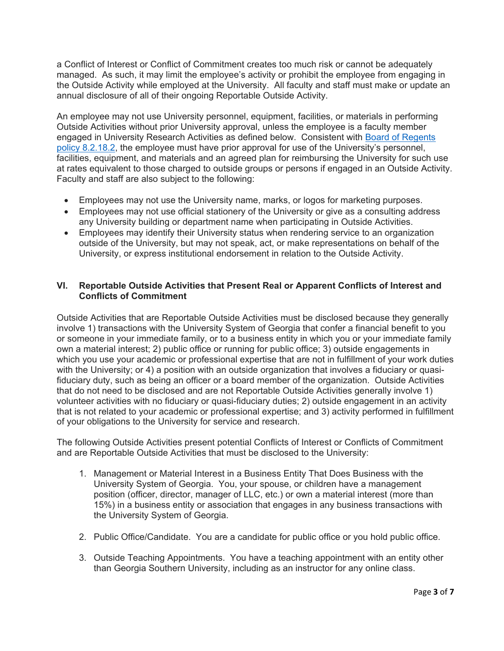a Conflict of Interest or Conflict of Commitment creates too much risk or cannot be adequately managed. As such, it may limit the employee's activity or prohibit the employee from engaging in the Outside Activity while employed at the University. All faculty and staff must make or update an annual disclosure of all of their ongoing Reportable Outside Activity.

An employee may not use University personnel, equipment, facilities, or materials in performing Outside Activities without prior University approval, unless the employee is a faculty member engaged in University Research Activities as defined below. Consistent with [Board of Regents](https://www.usg.edu/policymanual/section8/C224/#p8.2.18_personnel_conduct)  [policy 8.2.18.2,](https://www.usg.edu/policymanual/section8/C224/#p8.2.18_personnel_conduct) the employee must have prior approval for use of the University's personnel, facilities, equipment, and materials and an agreed plan for reimbursing the University for such use at rates equivalent to those charged to outside groups or persons if engaged in an Outside Activity. Faculty and staff are also subject to the following:

- Employees may not use the University name, marks, or logos for marketing purposes.
- Employees may not use official stationery of the University or give as a consulting address any University building or department name when participating in Outside Activities.
- Employees may identify their University status when rendering service to an organization outside of the University, but may not speak, act, or make representations on behalf of the University, or express institutional endorsement in relation to the Outside Activity.

### **VI. Reportable Outside Activities that Present Real or Apparent Conflicts of Interest and Conflicts of Commitment**

Outside Activities that are Reportable Outside Activities must be disclosed because they generally involve 1) transactions with the University System of Georgia that confer a financial benefit to you or someone in your immediate family, or to a business entity in which you or your immediate family own a material interest; 2) public office or running for public office; 3) outside engagements in which you use your academic or professional expertise that are not in fulfillment of your work duties with the University; or 4) a position with an outside organization that involves a fiduciary or quasifiduciary duty, such as being an officer or a board member of the organization. Outside Activities that do not need to be disclosed and are not Reportable Outside Activities generally involve 1) volunteer activities with no fiduciary or quasi-fiduciary duties; 2) outside engagement in an activity that is not related to your academic or professional expertise; and 3) activity performed in fulfillment of your obligations to the University for service and research.

The following Outside Activities present potential Conflicts of Interest or Conflicts of Commitment and are Reportable Outside Activities that must be disclosed to the University:

- 1. Management or Material Interest in a Business Entity That Does Business with the University System of Georgia. You, your spouse, or children have a management position (officer, director, manager of LLC, etc.) or own a material interest (more than 15%) in a business entity or association that engages in any business transactions with the University System of Georgia.
- 2. Public Office/Candidate. You are a candidate for public office or you hold public office.
- 3. Outside Teaching Appointments. You have a teaching appointment with an entity other than Georgia Southern University, including as an instructor for any online class.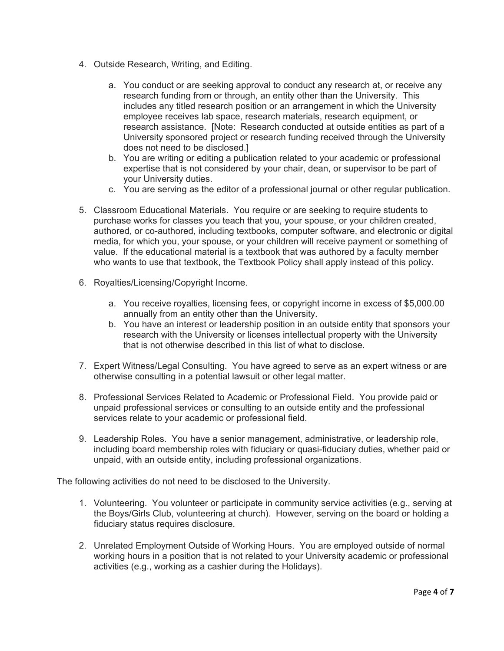- 4. Outside Research, Writing, and Editing.
	- a. You conduct or are seeking approval to conduct any research at, or receive any research funding from or through, an entity other than the University. This includes any titled research position or an arrangement in which the University employee receives lab space, research materials, research equipment, or research assistance. [Note: Research conducted at outside entities as part of a University sponsored project or research funding received through the University does not need to be disclosed.]
	- b. You are writing or editing a publication related to your academic or professional expertise that is not considered by your chair, dean, or supervisor to be part of your University duties.
	- c. You are serving as the editor of a professional journal or other regular publication.
- 5. Classroom Educational Materials. You require or are seeking to require students to purchase works for classes you teach that you, your spouse, or your children created, authored, or co-authored, including textbooks, computer software, and electronic or digital media, for which you, your spouse, or your children will receive payment or something of value. If the educational material is a textbook that was authored by a faculty member who wants to use that textbook, the Textbook Policy shall apply instead of this policy.
- 6. Royalties/Licensing/Copyright Income.
	- a. You receive royalties, licensing fees, or copyright income in excess of \$5,000.00 annually from an entity other than the University.
	- b. You have an interest or leadership position in an outside entity that sponsors your research with the University or licenses intellectual property with the University that is not otherwise described in this list of what to disclose.
- 7. Expert Witness/Legal Consulting. You have agreed to serve as an expert witness or are otherwise consulting in a potential lawsuit or other legal matter.
- 8. Professional Services Related to Academic or Professional Field. You provide paid or unpaid professional services or consulting to an outside entity and the professional services relate to your academic or professional field.
- 9. Leadership Roles. You have a senior management, administrative, or leadership role, including board membership roles with fiduciary or quasi-fiduciary duties, whether paid or unpaid, with an outside entity, including professional organizations.

The following activities do not need to be disclosed to the University.

- 1. Volunteering. You volunteer or participate in community service activities (e.g., serving at the Boys/Girls Club, volunteering at church). However, serving on the board or holding a fiduciary status requires disclosure.
- 2. Unrelated Employment Outside of Working Hours. You are employed outside of normal working hours in a position that is not related to your University academic or professional activities (e.g., working as a cashier during the Holidays).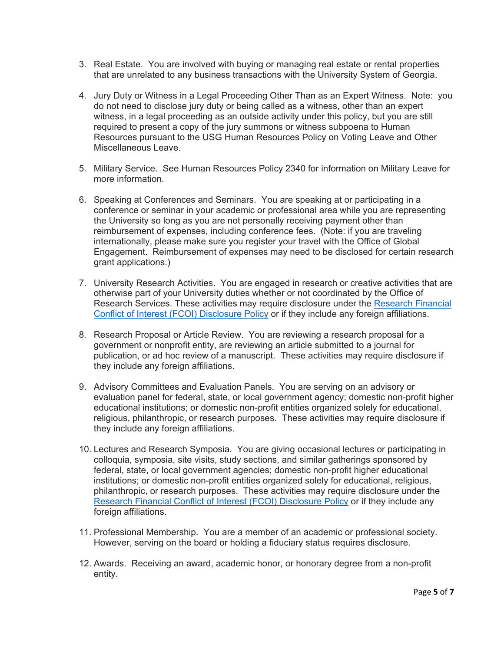- 3. Real Estate. You are involved with buying or managing real estate or rental properties that are unrelated to any business transactions with the University System of Georgia.
- 4. Jury Duty or Witness in a Legal Proceeding Other Than as an Expert Witness. Note: you do not need to disclose jury duty or being called as a witness, other than an expert witness, in a legal proceeding as an outside activity under this policy, but you are still required to present a copy of the jury summons or witness subpoena to Human Resources pursuant to the USG Human Resources Policy on Voting Leave and Other Miscellaneous Leave.
- 5. Military Service. See Human Resources Policy 2340 for information on Military Leave for more information.
- 6. Speaking at Conferences and Seminars. You are speaking at or participating in a conference or seminar in your academic or professional area while you are representing the University so long as you are not personally receiving payment other than reimbursement of expenses, including conference fees. (Note: if you are traveling internationally, please make sure you register your travel with the Office of Global Engagement. Reimbursement of expenses may need to be disclosed for certain research grant applications.)
- 7. University Research Activities. You are engaged in research or creative activities that are otherwise part of your University duties whether or not coordinated by the Office of Research Services. These activities may require disclosure under the [Research Financial](https://digitalcommons.georgiasouthern.edu/cgi/viewcontent.cgi?article=1001&context=oraec)  [Conflict of Interest \(FCOI\) Disclosure Policy](https://digitalcommons.georgiasouthern.edu/cgi/viewcontent.cgi?article=1001&context=oraec) or if they include any foreign affiliations.
- 8. Research Proposal or Article Review. You are reviewing a research proposal for a government or nonprofit entity, are reviewing an article submitted to a journal for publication, or ad hoc review of a manuscript. These activities may require disclosure if they include any foreign affiliations.
- 9. Advisory Committees and Evaluation Panels. You are serving on an advisory or evaluation panel for federal, state, or local government agency; domestic non-profit higher educational institutions; or domestic non-profit entities organized solely for educational, religious, philanthropic, or research purposes. These activities may require disclosure if they include any foreign affiliations.
- 10. Lectures and Research Symposia. You are giving occasional lectures or participating in colloquia, symposia, site visits, study sections, and similar gatherings sponsored by federal, state, or local government agencies; domestic non-profit higher educational institutions; or domestic non-profit entities organized solely for educational, religious, philanthropic, or research purposes. These activities may require disclosure under the [Research Financial Conflict of Interest \(FCOI\) Disclosure Policy](https://digitalcommons.georgiasouthern.edu/cgi/viewcontent.cgi?article=1001&context=oraec) or if they include any foreign affiliations.
- 11. Professional Membership. You are a member of an academic or professional society. However, serving on the board or holding a fiduciary status requires disclosure.
- 12. Awards. Receiving an award, academic honor, or honorary degree from a non-profit entity.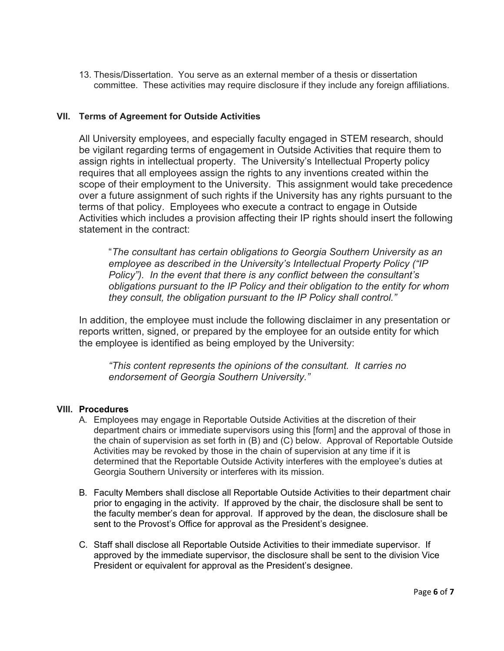13. Thesis/Dissertation. You serve as an external member of a thesis or dissertation committee. These activities may require disclosure if they include any foreign affiliations.

#### **VII. Terms of Agreement for Outside Activities**

All University employees, and especially faculty engaged in STEM research, should be vigilant regarding terms of engagement in Outside Activities that require them to assign rights in intellectual property. The University's Intellectual Property policy requires that all employees assign the rights to any inventions created within the scope of their employment to the University. This assignment would take precedence over a future assignment of such rights if the University has any rights pursuant to the terms of that policy. Employees who execute a contract to engage in Outside Activities which includes a provision affecting their IP rights should insert the following statement in the contract:

"*The consultant has certain obligations to Georgia Southern University as an employee as described in the University's Intellectual Property Policy ("IP Policy"). In the event that there is any conflict between the consultant's obligations pursuant to the IP Policy and their obligation to the entity for whom they consult, the obligation pursuant to the IP Policy shall control."*

In addition, the employee must include the following disclaimer in any presentation or reports written, signed, or prepared by the employee for an outside entity for which the employee is identified as being employed by the University:

*"This content represents the opinions of the consultant. It carries no endorsement of Georgia Southern University."*

#### **VIII. Procedures**

- A. Employees may engage in Reportable Outside Activities at the discretion of their department chairs or immediate supervisors using this [form] and the approval of those in the chain of supervision as set forth in (B) and (C) below. Approval of Reportable Outside Activities may be revoked by those in the chain of supervision at any time if it is determined that the Reportable Outside Activity interferes with the employee's duties at Georgia Southern University or interferes with its mission.
- B. Faculty Members shall disclose all Reportable Outside Activities to their department chair prior to engaging in the activity. If approved by the chair, the disclosure shall be sent to the faculty member's dean for approval. If approved by the dean, the disclosure shall be sent to the Provost's Office for approval as the President's designee.
- C. Staff shall disclose all Reportable Outside Activities to their immediate supervisor. If approved by the immediate supervisor, the disclosure shall be sent to the division Vice President or equivalent for approval as the President's designee.